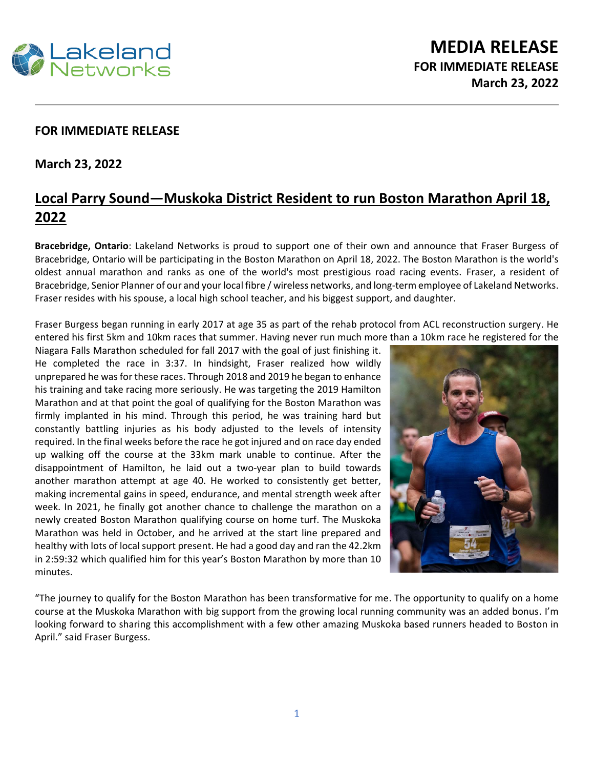

## **FOR IMMEDIATE RELEASE**

**March 23, 2022**

## **Local Parry Sound—Muskoka District Resident to run Boston Marathon April 18, 2022**

**Bracebridge, Ontario**: Lakeland Networks is proud to support one of their own and announce that Fraser Burgess of Bracebridge, Ontario will be participating in the Boston Marathon on April 18, 2022. The Boston Marathon is the world's oldest annual marathon and ranks as one of the world's most prestigious road racing events. Fraser, a resident of Bracebridge, Senior Planner of our and your local fibre / wireless networks, and long-term employee of Lakeland Networks. Fraser resides with his spouse, a local high school teacher, and his biggest support, and daughter.

Fraser Burgess began running in early 2017 at age 35 as part of the rehab protocol from ACL reconstruction surgery. He entered his first 5km and 10km races that summer. Having never run much more than a 10km race he registered for the

Niagara Falls Marathon scheduled for fall 2017 with the goal of just finishing it. He completed the race in 3:37. In hindsight, Fraser realized how wildly unprepared he wasfor these races. Through 2018 and 2019 he began to enhance his training and take racing more seriously. He was targeting the 2019 Hamilton Marathon and at that point the goal of qualifying for the Boston Marathon was firmly implanted in his mind. Through this period, he was training hard but constantly battling injuries as his body adjusted to the levels of intensity required. In the final weeks before the race he got injured and on race day ended up walking off the course at the 33km mark unable to continue. After the disappointment of Hamilton, he laid out a two-year plan to build towards another marathon attempt at age 40. He worked to consistently get better, making incremental gains in speed, endurance, and mental strength week after week. In 2021, he finally got another chance to challenge the marathon on a newly created Boston Marathon qualifying course on home turf. The Muskoka Marathon was held in October, and he arrived at the start line prepared and healthy with lots of local support present. He had a good day and ran the 42.2km in 2:59:32 which qualified him for this year's Boston Marathon by more than 10 minutes.



"The journey to qualify for the Boston Marathon has been transformative for me. The opportunity to qualify on a home course at the Muskoka Marathon with big support from the growing local running community was an added bonus. I'm looking forward to sharing this accomplishment with a few other amazing Muskoka based runners headed to Boston in April." said Fraser Burgess.